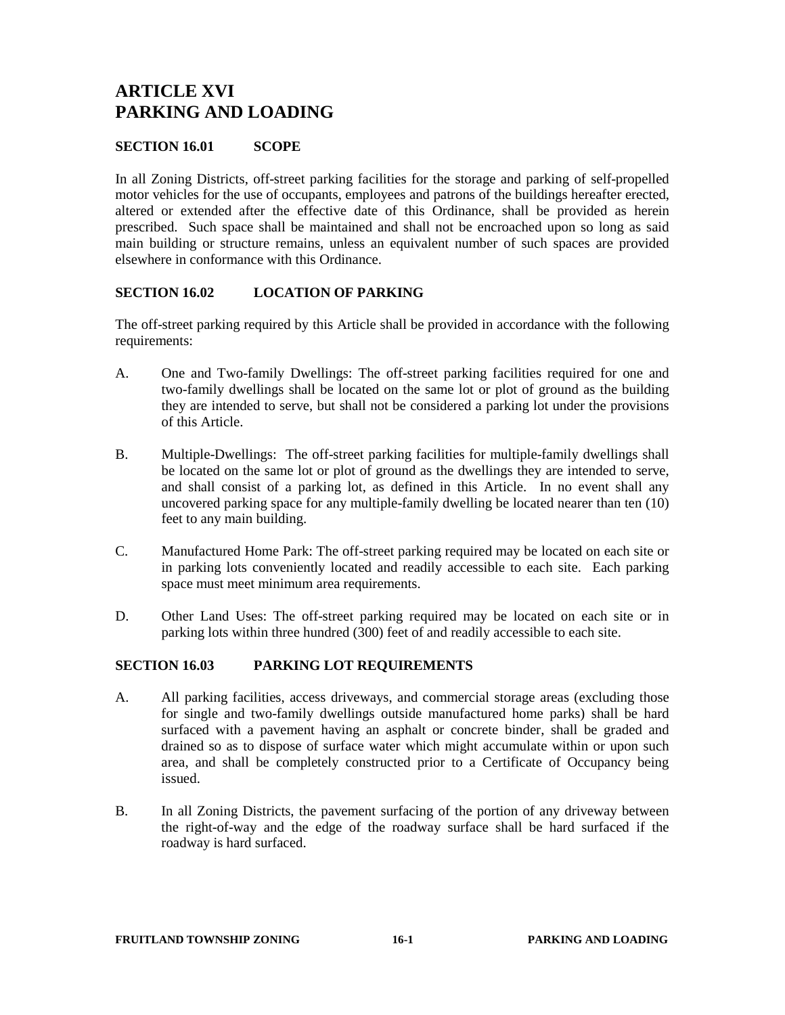# **ARTICLE XVI PARKING AND LOADING**

#### **SECTION 16.01 SCOPE**

In all Zoning Districts, off-street parking facilities for the storage and parking of self-propelled motor vehicles for the use of occupants, employees and patrons of the buildings hereafter erected, altered or extended after the effective date of this Ordinance, shall be provided as herein prescribed. Such space shall be maintained and shall not be encroached upon so long as said main building or structure remains, unless an equivalent number of such spaces are provided elsewhere in conformance with this Ordinance.

### **SECTION 16.02 LOCATION OF PARKING**

The off-street parking required by this Article shall be provided in accordance with the following requirements:

- A. One and Two-family Dwellings: The off-street parking facilities required for one and two-family dwellings shall be located on the same lot or plot of ground as the building they are intended to serve, but shall not be considered a parking lot under the provisions of this Article.
- B. Multiple-Dwellings: The off-street parking facilities for multiple-family dwellings shall be located on the same lot or plot of ground as the dwellings they are intended to serve, and shall consist of a parking lot, as defined in this Article. In no event shall any uncovered parking space for any multiple-family dwelling be located nearer than ten (10) feet to any main building.
- C. Manufactured Home Park: The off-street parking required may be located on each site or in parking lots conveniently located and readily accessible to each site. Each parking space must meet minimum area requirements.
- D. Other Land Uses: The off-street parking required may be located on each site or in parking lots within three hundred (300) feet of and readily accessible to each site.

#### **SECTION 16.03 PARKING LOT REQUIREMENTS**

- A. All parking facilities, access driveways, and commercial storage areas (excluding those for single and two-family dwellings outside manufactured home parks) shall be hard surfaced with a pavement having an asphalt or concrete binder, shall be graded and drained so as to dispose of surface water which might accumulate within or upon such area, and shall be completely constructed prior to a Certificate of Occupancy being issued.
- B. In all Zoning Districts, the pavement surfacing of the portion of any driveway between the right-of-way and the edge of the roadway surface shall be hard surfaced if the roadway is hard surfaced.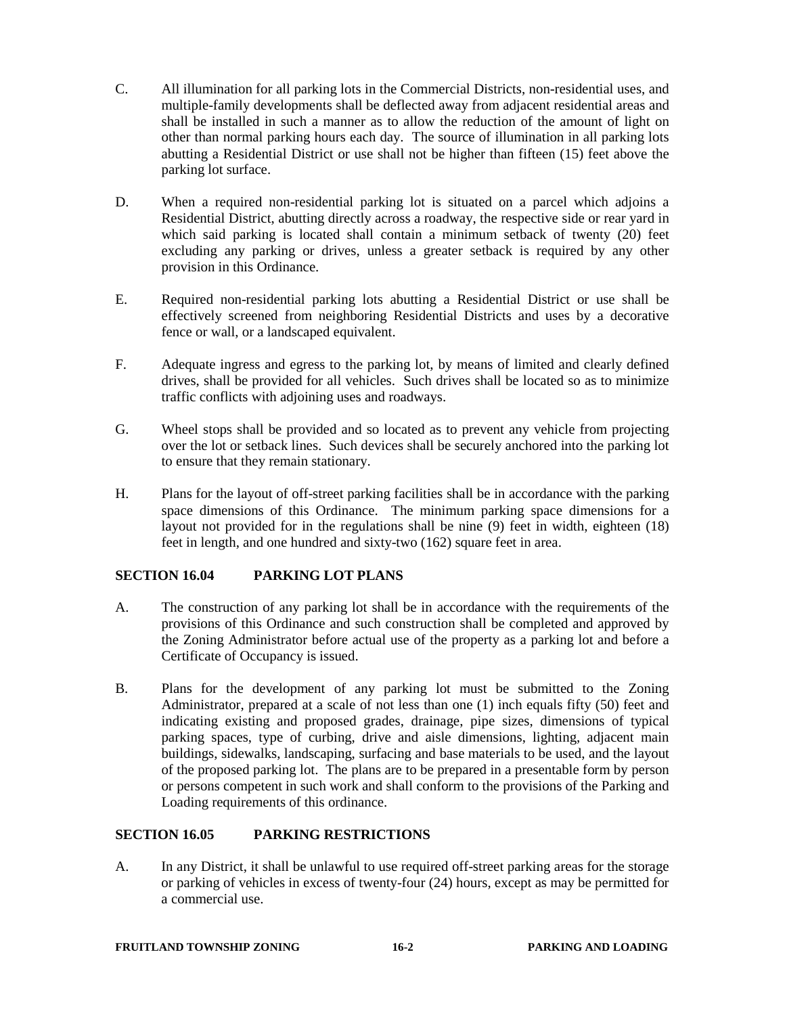- C. All illumination for all parking lots in the Commercial Districts, non-residential uses, and multiple-family developments shall be deflected away from adjacent residential areas and shall be installed in such a manner as to allow the reduction of the amount of light on other than normal parking hours each day. The source of illumination in all parking lots abutting a Residential District or use shall not be higher than fifteen (15) feet above the parking lot surface.
- D. When a required non-residential parking lot is situated on a parcel which adjoins a Residential District, abutting directly across a roadway, the respective side or rear yard in which said parking is located shall contain a minimum setback of twenty (20) feet excluding any parking or drives, unless a greater setback is required by any other provision in this Ordinance.
- E. Required non-residential parking lots abutting a Residential District or use shall be effectively screened from neighboring Residential Districts and uses by a decorative fence or wall, or a landscaped equivalent.
- F. Adequate ingress and egress to the parking lot, by means of limited and clearly defined drives, shall be provided for all vehicles. Such drives shall be located so as to minimize traffic conflicts with adjoining uses and roadways.
- G. Wheel stops shall be provided and so located as to prevent any vehicle from projecting over the lot or setback lines. Such devices shall be securely anchored into the parking lot to ensure that they remain stationary.
- H. Plans for the layout of off-street parking facilities shall be in accordance with the parking space dimensions of this Ordinance. The minimum parking space dimensions for a layout not provided for in the regulations shall be nine (9) feet in width, eighteen (18) feet in length, and one hundred and sixty-two (162) square feet in area.

## **SECTION 16.04 PARKING LOT PLANS**

- A. The construction of any parking lot shall be in accordance with the requirements of the provisions of this Ordinance and such construction shall be completed and approved by the Zoning Administrator before actual use of the property as a parking lot and before a Certificate of Occupancy is issued.
- B. Plans for the development of any parking lot must be submitted to the Zoning Administrator, prepared at a scale of not less than one (1) inch equals fifty (50) feet and indicating existing and proposed grades, drainage, pipe sizes, dimensions of typical parking spaces, type of curbing, drive and aisle dimensions, lighting, adjacent main buildings, sidewalks, landscaping, surfacing and base materials to be used, and the layout of the proposed parking lot. The plans are to be prepared in a presentable form by person or persons competent in such work and shall conform to the provisions of the Parking and Loading requirements of this ordinance.

## **SECTION 16.05 PARKING RESTRICTIONS**

A. In any District, it shall be unlawful to use required off-street parking areas for the storage or parking of vehicles in excess of twenty-four (24) hours, except as may be permitted for a commercial use.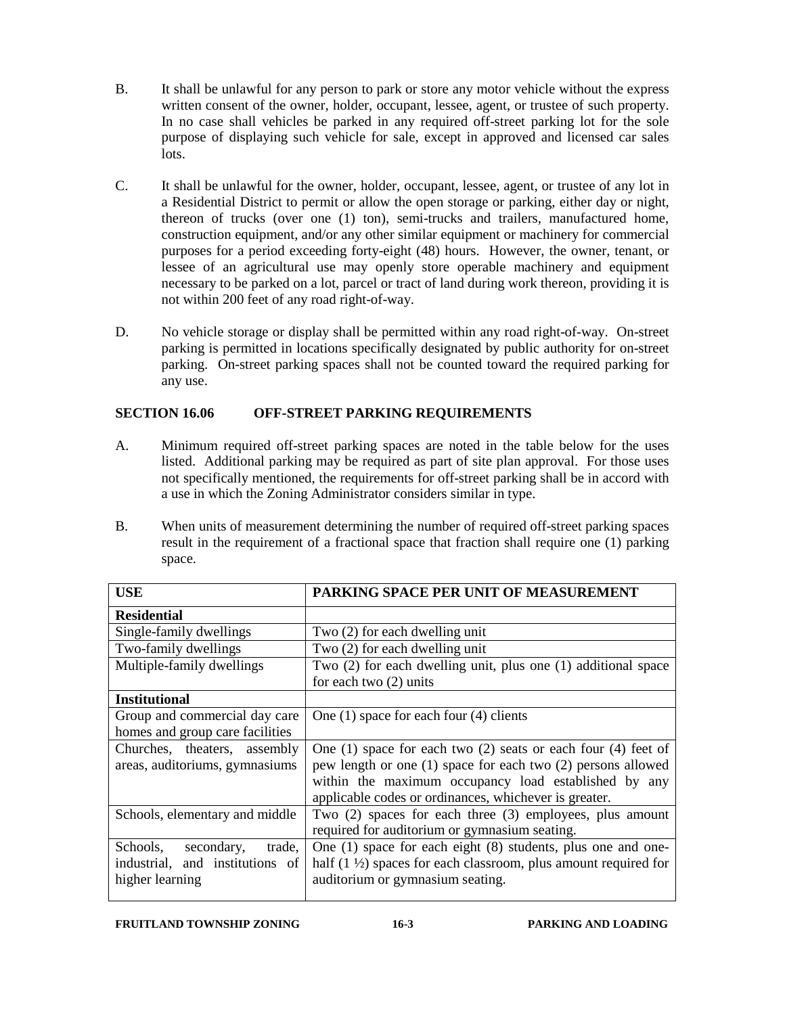- B. It shall be unlawful for any person to park or store any motor vehicle without the express written consent of the owner, holder, occupant, lessee, agent, or trustee of such property. In no case shall vehicles be parked in any required off-street parking lot for the sole purpose of displaying such vehicle for sale, except in approved and licensed car sales lots.
- C. It shall be unlawful for the owner, holder, occupant, lessee, agent, or trustee of any lot in a Residential District to permit or allow the open storage or parking, either day or night, thereon of trucks (over one (1) ton), semi-trucks and trailers, manufactured home, construction equipment, and/or any other similar equipment or machinery for commercial purposes for a period exceeding forty-eight (48) hours. However, the owner, tenant, or lessee of an agricultural use may openly store operable machinery and equipment necessary to be parked on a lot, parcel or tract of land during work thereon, providing it is not within 200 feet of any road right-of-way.
- D. No vehicle storage or display shall be permitted within any road right-of-way. On-street parking is permitted in locations specifically designated by public authority for on-street parking. On-street parking spaces shall not be counted toward the required parking for any use.

## **SECTION 16.06 OFF-STREET PARKING REQUIREMENTS**

- A. Minimum required off-street parking spaces are noted in the table below for the uses listed. Additional parking may be required as part of site plan approval. For those uses not specifically mentioned, the requirements for off-street parking shall be in accord with a use in which the Zoning Administrator considers similar in type.
- B. When units of measurement determining the number of required off-street parking spaces result in the requirement of a fractional space that fraction shall require one (1) parking space.

| PARKING SPACE PER UNIT OF MEASUREMENT                                      |
|----------------------------------------------------------------------------|
|                                                                            |
| Two (2) for each dwelling unit                                             |
| Two (2) for each dwelling unit                                             |
| Two $(2)$ for each dwelling unit, plus one $(1)$ additional space          |
| for each two $(2)$ units                                                   |
|                                                                            |
| One $(1)$ space for each four $(4)$ clients                                |
|                                                                            |
| One $(1)$ space for each two $(2)$ seats or each four $(4)$ feet of        |
| pew length or one (1) space for each two (2) persons allowed               |
| within the maximum occupancy load established by any                       |
| applicable codes or ordinances, whichever is greater.                      |
| Two $(2)$ spaces for each three $(3)$ employees, plus amount               |
| required for auditorium or gymnasium seating.                              |
| One $(1)$ space for each eight $(8)$ students, plus one and one-<br>trade, |
| half $(1 \frac{1}{2})$ spaces for each classroom, plus amount required for |
| auditorium or gymnasium seating.                                           |
|                                                                            |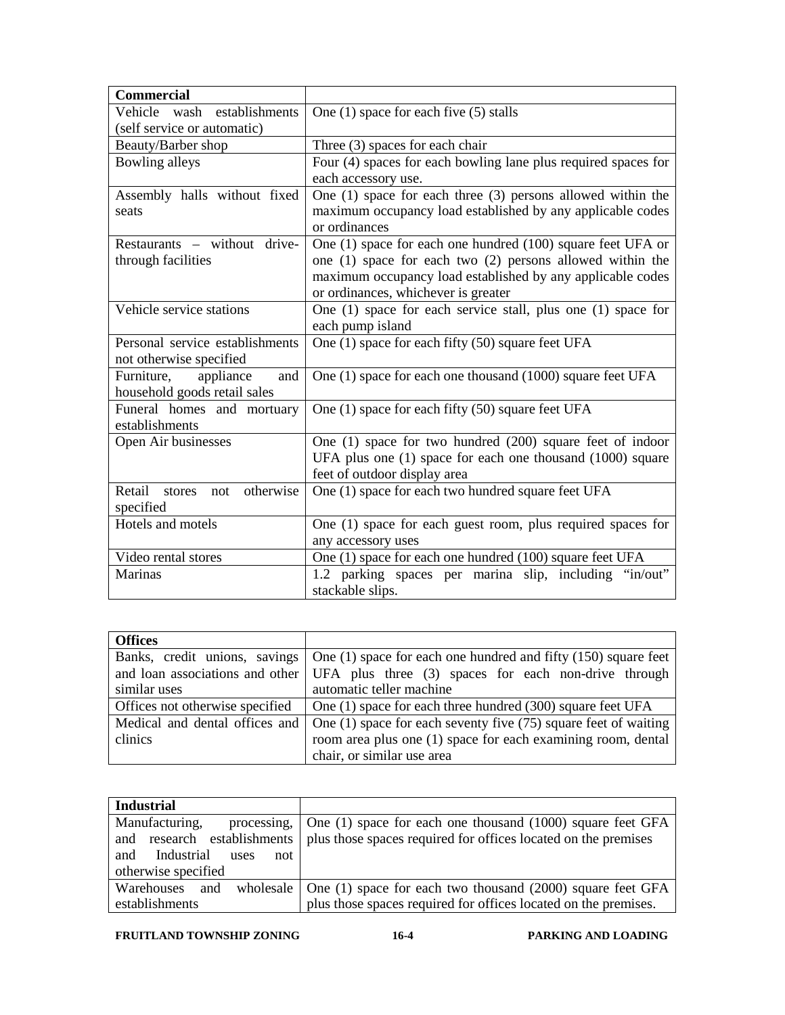| <b>Commercial</b>                    |                                                                  |
|--------------------------------------|------------------------------------------------------------------|
| Vehicle<br>establishments<br>wash    | One $(1)$ space for each five $(5)$ stalls                       |
| (self service or automatic)          |                                                                  |
| Beauty/Barber shop                   | Three (3) spaces for each chair                                  |
| Bowling alleys                       | Four (4) spaces for each bowling lane plus required spaces for   |
|                                      | each accessory use.                                              |
| Assembly halls without fixed         | One $(1)$ space for each three $(3)$ persons allowed within the  |
| seats                                | maximum occupancy load established by any applicable codes       |
|                                      | or ordinances                                                    |
| Restaurants – without drive-         | One (1) space for each one hundred (100) square feet UFA or      |
| through facilities                   | one $(1)$ space for each two $(2)$ persons allowed within the    |
|                                      | maximum occupancy load established by any applicable codes       |
|                                      | or ordinances, whichever is greater                              |
| Vehicle service stations             | One $(1)$ space for each service stall, plus one $(1)$ space for |
|                                      | each pump island                                                 |
| Personal service establishments      | One (1) space for each fifty (50) square feet UFA                |
| not otherwise specified              |                                                                  |
| Furniture,<br>appliance<br>and       | One (1) space for each one thousand (1000) square feet UFA       |
| household goods retail sales         |                                                                  |
| Funeral homes and mortuary           | One (1) space for each fifty (50) square feet UFA                |
| establishments                       |                                                                  |
| Open Air businesses                  | One (1) space for two hundred (200) square feet of indoor        |
|                                      | UFA plus one (1) space for each one thousand (1000) square       |
|                                      | feet of outdoor display area                                     |
| Retail<br>otherwise<br>stores<br>not | One (1) space for each two hundred square feet UFA               |
| specified                            |                                                                  |
| Hotels and motels                    | One (1) space for each guest room, plus required spaces for      |
|                                      | any accessory uses                                               |
| Video rental stores                  | One (1) space for each one hundred (100) square feet UFA         |
| Marinas                              | 1.2 parking spaces per marina slip, including "in/out"           |
|                                      | stackable slips.                                                 |

| <b>Offices</b>                 |                                                                                                      |
|--------------------------------|------------------------------------------------------------------------------------------------------|
|                                | Banks, credit unions, savings $\vert$ One (1) space for each one hundred and fifty (150) square feet |
|                                | and loan associations and other UFA plus three (3) spaces for each non-drive through                 |
| similar uses                   | automatic teller machine                                                                             |
|                                | Offices not otherwise specified $\Box$ One (1) space for each three hundred (300) square feet UFA    |
| Medical and dental offices and | One $(1)$ space for each seventy five $(75)$ square feet of waiting                                  |
| clinics                        | room area plus one (1) space for each examining room, dental                                         |
|                                | chair, or similar use area                                                                           |

| <b>Industrial</b>                |                                                                                          |
|----------------------------------|------------------------------------------------------------------------------------------|
| Manufacturing,<br>processing.    | One (1) space for each one thousand (1000) square feet GFA                               |
| and                              | research establishments   plus those spaces required for offices located on the premises |
| Industrial<br>and<br>not<br>uses |                                                                                          |
| otherwise specified              |                                                                                          |
| wholesale<br>Warehouses<br>and   | One (1) space for each two thousand (2000) square feet GFA                               |
| establishments                   | plus those spaces required for offices located on the premises.                          |